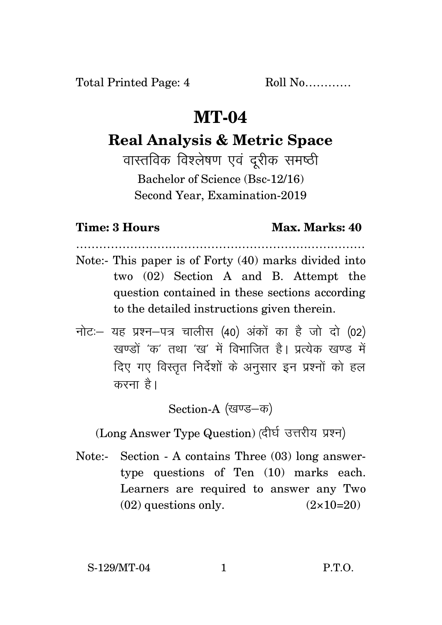Total Printed Page: 4 Roll No............

## **MT-04**

# **Real Analysis & Metric Space**

वास्तविक विश्लेषण एवं दुरीक समष्ठी Bachelor of Science (Bsc-12/16) Second Year, Examination-2019

## **Time: 3 Hours Max. Marks: 40**

Note:- This paper is of Forty (40) marks divided into two (02) Section A and B. Attempt the question contained in these sections according to the detailed instructions given therein.

…………………………………………………………………

नोट: यह प्रश्न-पत्र चालीस (40) अंकों का है जो दो (02) .<br>रवण्डों *'क'* तथा 'ख' में विभाजित है। प्रत्येक खण्ड में दिए गए विस्तृत निर्देशों के अनुसार इन प्रश्नों को हल करना है।

Section-A (खण्ड-क)

(Long Answer Type Question) (दीर्घ उत्तरीय प्रश्न)

Note:- Section - A contains Three (03) long answertype questions of Ten (10) marks each. Learners are required to answer any Two  $(02)$  questions only.  $(2 \times 10=20)$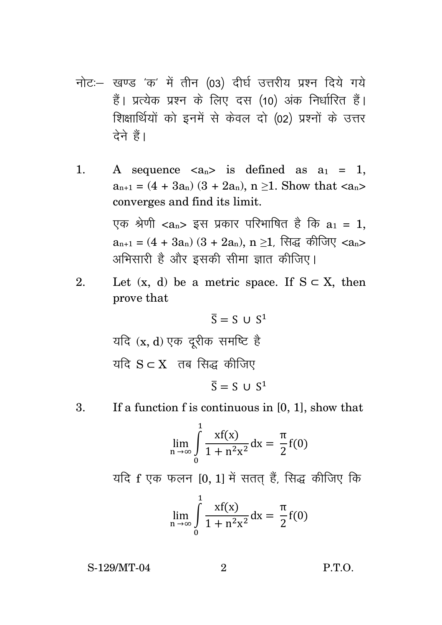- नोट: खण्ड 'क' में तीन (03) दीर्घ उत्तरीय प्रश्न दिये गये हैं। प्रत्येक प्रश्न के लिए दस (10) अंक निर्धारित हैं। शिक्षार्थियों को इनमें से केवल दो (02) प्रश्नों के उत्तर टेने हैं।
- 1. A sequence  $\langle a_n \rangle$  is defined as  $a_1 = 1$ ,  $a_{n+1} = (4 + 3a_n) (3 + 2a_n)$ ,  $n \ge 1$ . Show that <an> converges and find its limit.

एक श्रेणी < $a_n$ > इस प्रकार परिभाषित है कि  $a_1 = 1$ ,  $a_{n+1} = (4 + 3a_n) (3 + 2a_n)$ , n ≥1, सिद्ध कीजिए <a<sub>n</sub>> अभिसारी है और इसकी सीमा ज्ञात कीजिए।

2. Let  $(x, d)$  be a metric space. If  $S \subset X$ , then prove that

$$
\overline{S} = S \cup S^1
$$
 यदि (x, d) एक दूरीक समष्टि है  
यदि S ⊂ X  तब सिद्ध कीजिए

$$
\overline{S} = S \cup S^1
$$

#### 3. If a function f is continuous in [0, 1], show that

$$
\lim_{n \to \infty} \int_{0}^{1} \frac{xf(x)}{1 + n^2 x^2} dx = \frac{\pi}{2} f(0)
$$

यदि f एक फलन [0, 1] में सतत हैं, सिद्ध कीजिए कि

$$
\lim_{n\to\infty}\int_{0}^{1}\frac{xf(x)}{1+n^2x^2}dx=\frac{\pi}{2}f(0)
$$

S-129/MT-04 2 P.T.O.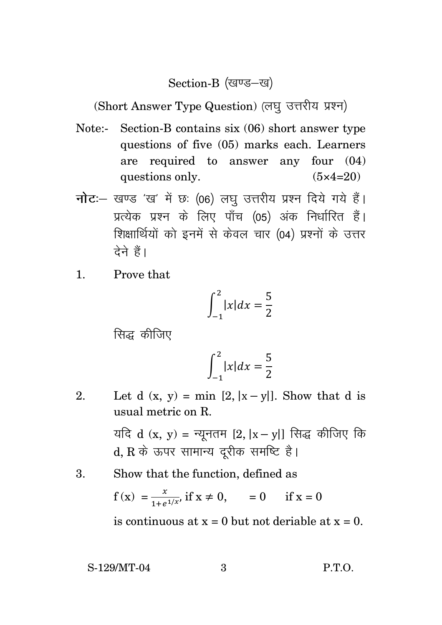### Section-B (खण्ड-ख)

(Short Answer Type Question) (लघु उत्तरीय प्रश्न)

- Note:- Section-B contains six (06) short answer type questions of five (05) marks each. Learners are required to answer any four (04) questions only.  $(5 \times 4=20)$
- **नोट**: खण्ड 'ख' में छः (06) लघु उत्तरीय प्रश्न दिये गये हैं। प्रत्येक प्रश्न के लिए पाँच (05) अंक निर्धारित हैं। शिक्षार्थियों को इनमें से केवल चार (04) प्रश्नों के उत्तर टेने हैं।
- 1. Prove that

$$
\int_{-1}^{2} |x| dx = \frac{5}{2}
$$

सिद्ध कीजिए

$$
\int_{-1}^{2} |x| dx = \frac{5}{2}
$$

2. Let d  $(x, y) = min [2, |x - y|]$ . Show that d is usual metric on R.

> यदि d (x, y) = न्यूनतम [2, |x – y|] सिद्ध कीजिए कि d, R के ऊपर सामान्य दूरीक समष्टि है।

3. Show that the function, defined as

$$
f(x) = {x \over 1 + e^{1/x}}
$$
 if  $x \ne 0$ ,  $= 0$  if  $x = 0$ 

is continuous at  $x = 0$  but not deriable at  $x = 0$ .

S-129/MT-04 3 P.T.O.